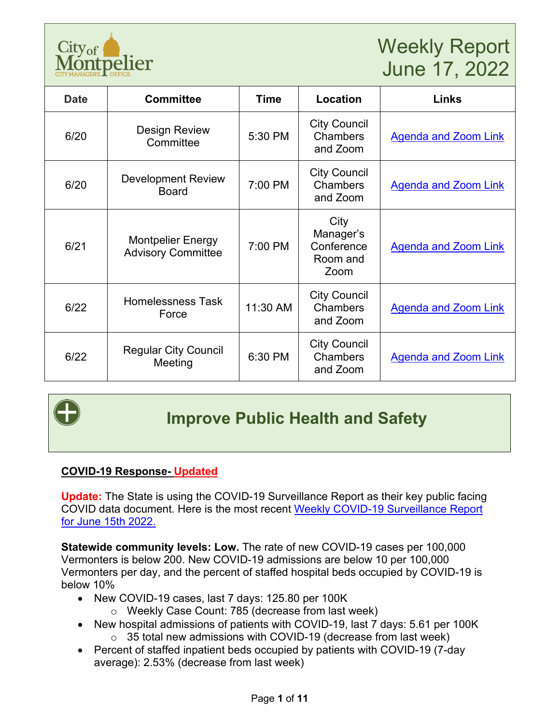

# Weekly Report June 17, 2022

| <b>Date</b> | <b>Committee</b>                                      | <b>Time</b> | Location                                            | Links                       |
|-------------|-------------------------------------------------------|-------------|-----------------------------------------------------|-----------------------------|
| 6/20        | <b>Design Review</b><br>Committee                     | 5:30 PM     | <b>City Council</b><br>Chambers<br>and Zoom         | <b>Agenda and Zoom Link</b> |
| 6/20        | <b>Development Review</b><br><b>Board</b>             | 7:00 PM     | <b>City Council</b><br>Chambers<br>and Zoom         | <b>Agenda and Zoom Link</b> |
| 6/21        | <b>Montpelier Energy</b><br><b>Advisory Committee</b> | 7:00 PM     | City<br>Manager's<br>Conference<br>Room and<br>Zoom | <b>Agenda and Zoom Link</b> |
| 6/22        | <b>Homelessness Task</b><br>Force                     | 11:30 AM    | <b>City Council</b><br>Chambers<br>and Zoom         | <b>Agenda and Zoom Link</b> |
| 6/22        | <b>Regular City Council</b><br>Meeting                | 6:30 PM     | <b>City Council</b><br><b>Chambers</b><br>and Zoom  | <b>Agenda and Zoom Link</b> |



## **Improve Public Health and Safety**

#### **COVID-19 Response- Updated**

**Update:** The State is using the COVID-19 Surveillance Report as their key public facing COVID data document. Here is the most recent [Weekly COVID-19 Surveillance Report](https://www.healthvermont.gov/sites/default/files/documents/pdf/COVID-19-Surveillance-report-20220615.pdf)  [for June 15th 2022.](https://www.healthvermont.gov/sites/default/files/documents/pdf/COVID-19-Surveillance-report-20220615.pdf)

**Statewide community levels: Low.** The rate of new COVID-19 cases per 100,000 Vermonters is below 200. New COVID-19 admissions are below 10 per 100,000 Vermonters per day, and the percent of staffed hospital beds occupied by COVID-19 is below 10%

- New COVID-19 cases, last 7 days: 125.80 per 100K
	- o Weekly Case Count: 785 (decrease from last week)
- New hospital admissions of patients with COVID-19, last 7 days: 5.61 per 100K  $\circ$  35 total new admissions with COVID-19 (decrease from last week)
- Percent of staffed inpatient beds occupied by patients with COVID-19 (7-day
	- average): 2.53% (decrease from last week)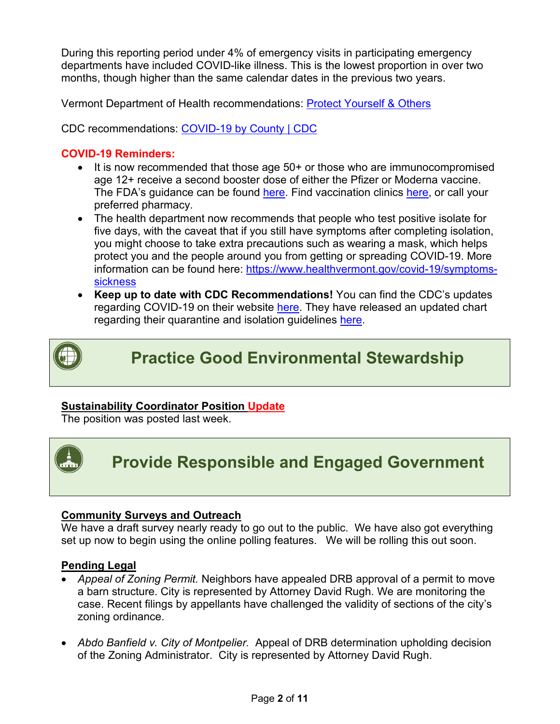During this reporting period under 4% of emergency visits in participating emergency departments have included COVID-like illness. This is the lowest proportion in over two months, though higher than the same calendar dates in the previous two years.

Vermont Department of Health recommendations: [Protect Yourself & Others](https://www.healthvermont.gov/covid-19/protect-yourself-others) 

CDC recommendations: [COVID-19 by County | CDC](https://www.cdc.gov/coronavirus/2019-ncov/your-health/covid-by-county.html)

#### **COVID-19 Reminders:**

- It is now recommended that those age 50+ or those who are immunocompromised age 12+ receive a second booster dose of either the Pfizer or Moderna vaccine. The FDA's guidance can be found [here.](https://www.fda.gov/news-events/press-announcements/coronavirus-covid-19-update-fda-authorizes-second-booster-dose-two-covid-19-vaccines-older-and) Find vaccination clinics [here,](https://www.healthvermont.gov/covid-19/vaccine/getting-covid-19-vaccine) or call your preferred pharmacy.
- The health department now recommends that people who test positive isolate for five days, with the caveat that if you still have symptoms after completing isolation, you might choose to take extra precautions such as wearing a mask, which helps protect you and the people around you from getting or spreading COVID-19. More information can be found here: [https://www.healthvermont.gov/covid-19/symptoms](https://www.healthvermont.gov/covid-19/symptoms-sickness)[sickness](https://www.healthvermont.gov/covid-19/symptoms-sickness)
- **Keep up to date with CDC Recommendations!** You can find the CDC's updates regarding COVID-19 on their website [here.](https://www.cdc.gov/coronavirus/2019-ncov/whats-new-all.html) They have released an updated chart regarding their quarantine and isolation guidelines [here.](https://www.cdc.gov/coronavirus/2019-ncov/your-health/quarantine-isolation.html)



**Practice Good Environmental Stewardship**

#### **Sustainability Coordinator Position Update**

The position was posted last week.



## **Provide Responsible and Engaged Government**

#### **Community Surveys and Outreach**

We have a draft survey nearly ready to go out to the public. We have also got everything set up now to begin using the online polling features. We will be rolling this out soon.

#### **Pending Legal**

- *Appeal of Zoning Permit.* Neighbors have appealed DRB approval of a permit to move a barn structure. City is represented by Attorney David Rugh. We are monitoring the case. Recent filings by appellants have challenged the validity of sections of the city's zoning ordinance.
- *Abdo Banfield v. City of Montpelier.* Appeal of DRB determination upholding decision of the Zoning Administrator. City is represented by Attorney David Rugh.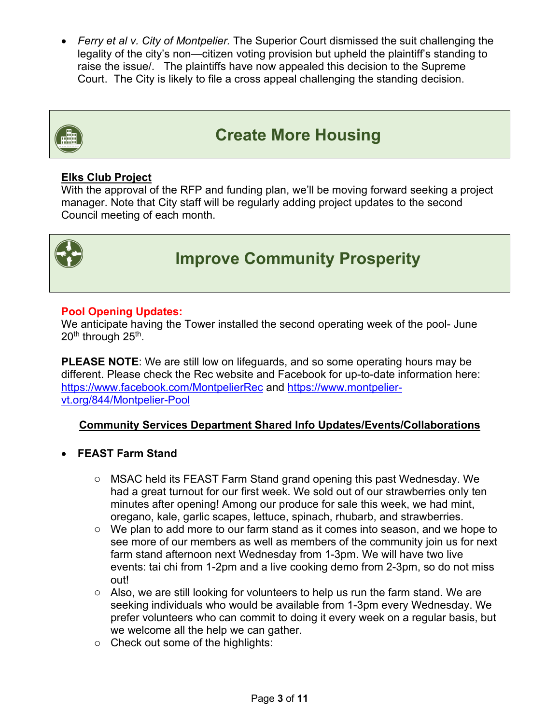• *Ferry et al v. City of Montpelier.* The Superior Court dismissed the suit challenging the legality of the city's non—citizen voting provision but upheld the plaintiff's standing to raise the issue/. The plaintiffs have now appealed this decision to the Supreme Court. The City is likely to file a cross appeal challenging the standing decision.



### **Create More Housing**

#### **Elks Club Project**

With the approval of the RFP and funding plan, we'll be moving forward seeking a project manager. Note that City staff will be regularly adding project updates to the second Council meeting of each month.



## **Improve Community Prosperity**

#### **Pool Opening Updates:**

We anticipate having the Tower installed the second operating week of the pool- June 20<sup>th</sup> through 25<sup>th</sup>.

**PLEASE NOTE**: We are still low on lifeguards, and so some operating hours may be different. Please check the Rec website and Facebook for up-to-date information here: <https://www.facebook.com/MontpelierRec> and [https://www.montpelier](https://www.montpelier-vt.org/844/Montpelier-Pool)[vt.org/844/Montpelier-Pool](https://www.montpelier-vt.org/844/Montpelier-Pool)

#### **Community Services Department Shared Info Updates/Events/Collaborations**

#### • **FEAST Farm Stand**

- o MSAC held its FEAST Farm Stand grand opening this past Wednesday. We had a great turnout for our first week. We sold out of our strawberries only ten minutes after opening! Among our produce for sale this week, we had mint, oregano, kale, garlic scapes, lettuce, spinach, rhubarb, and strawberries.
- o We plan to add more to our farm stand as it comes into season, and we hope to see more of our members as well as members of the community join us for next farm stand afternoon next Wednesday from 1-3pm. We will have two live events: tai chi from 1-2pm and a live cooking demo from 2-3pm, so do not miss out!
- $\circ$  Also, we are still looking for volunteers to help us run the farm stand. We are seeking individuals who would be available from 1-3pm every Wednesday. We prefer volunteers who can commit to doing it every week on a regular basis, but we welcome all the help we can gather.
- o Check out some of the highlights: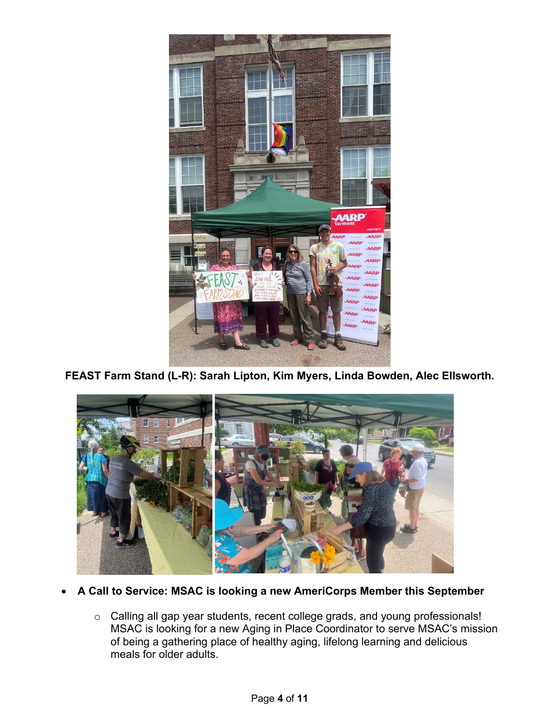

**FEAST Farm Stand (L-R): Sarah Lipton, Kim Myers, Linda Bowden, Alec Ellsworth.**



#### • **A Call to Service: MSAC is looking a new AmeriCorps Member this September**

o Calling all gap year students, recent college grads, and young professionals! MSAC is looking for a new Aging in Place Coordinator to serve MSAC's mission of being a gathering place of healthy aging, lifelong learning and delicious meals for older adults.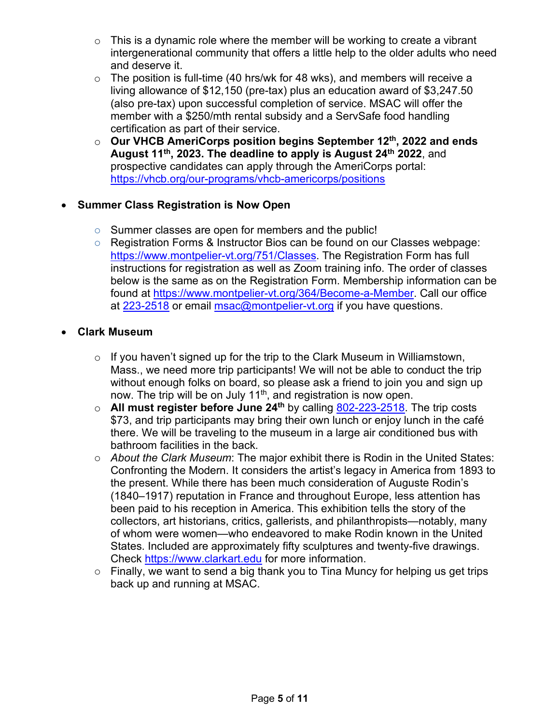- $\circ$  This is a dynamic role where the member will be working to create a vibrant intergenerational community that offers a little help to the older adults who need and deserve it.
- $\circ$  The position is full-time (40 hrs/wk for 48 wks), and members will receive a living allowance of \$12,150 (pre-tax) plus an education award of \$3,247.50 (also pre-tax) upon successful completion of service. MSAC will offer the member with a \$250/mth rental subsidy and a ServSafe food handling certification as part of their service.
- o **Our VHCB AmeriCorps position begins September 12th, 2022 and ends August 11th, 2023. The deadline to apply is August 24th 2022**, and prospective candidates can apply through the AmeriCorps portal: <https://vhcb.org/our-programs/vhcb-americorps/positions>

#### • **Summer Class Registration is Now Open**

- o Summer classes are open for members and the public!
- o Registration Forms & Instructor Bios can be found on our Classes webpage: [https://www.montpelier-vt.org/751/Classes.](https://www.montpelier-vt.org/751/Classes) The Registration Form has full instructions for registration as well as Zoom training info. The order of classes below is the same as on the Registration Form. Membership information can be found at [https://www.montpelier-vt.org/364/Become-a-Member.](https://www.montpelier-vt.org/364/Become-a-Member) Call our office at [223-2518](tel:802-223-2518) or email [msac@montpelier-vt.org](mailto:msac@montpelier-vt.org) if you have questions.

#### • **Clark Museum**

- $\circ$  If you haven't signed up for the trip to the Clark Museum in Williamstown, Mass., we need more trip participants! We will not be able to conduct the trip without enough folks on board, so please ask a friend to join you and sign up now. The trip will be on July 11<sup>th</sup>, and registration is now open.
- o **All must register before June 24th** by calling 802-223-2518. The trip costs \$73, and trip participants may bring their own lunch or enjoy lunch in the café there. We will be traveling to the museum in a large air conditioned bus with bathroom facilities in the back.
- o *About the Clark Museum*: The major exhibit there is Rodin in the United States: Confronting the Modern. It considers the artist's legacy in America from 1893 to the present. While there has been much consideration of Auguste Rodin's (1840–1917) reputation in France and throughout Europe, less attention has been paid to his reception in America. This exhibition tells the story of the collectors, art historians, critics, gallerists, and philanthropists—notably, many of whom were women—who endeavored to make Rodin known in the United States. Included are approximately fifty sculptures and twenty-five drawings. Check https://www.clarkart.edu for more information.
- o Finally, we want to send a big thank you to Tina Muncy for helping us get trips back up and running at MSAC.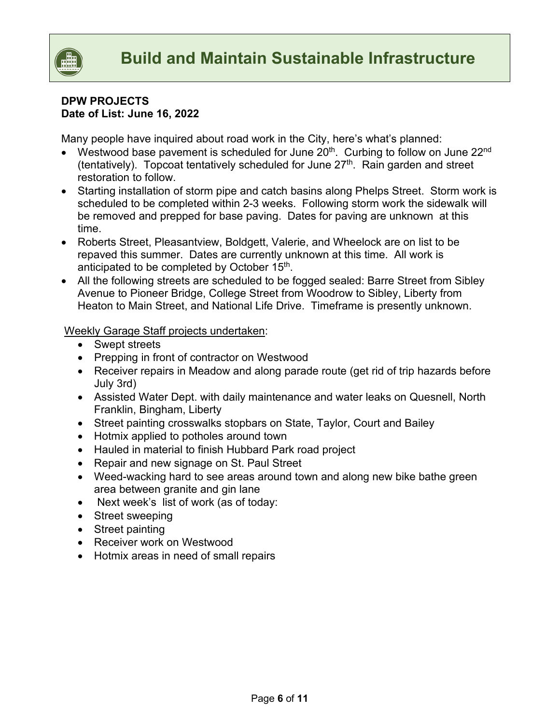

#### **DPW PROJECTS Date of List: June 16, 2022**

Many people have inquired about road work in the City, here's what's planned:

- Westwood base pavement is scheduled for June  $20<sup>th</sup>$ . Curbing to follow on June  $22<sup>nd</sup>$ (tentatively). Topcoat tentatively scheduled for June  $27<sup>th</sup>$ . Rain garden and street restoration to follow.
- Starting installation of storm pipe and catch basins along Phelps Street. Storm work is scheduled to be completed within 2-3 weeks. Following storm work the sidewalk will be removed and prepped for base paving. Dates for paving are unknown at this time.
- Roberts Street, Pleasantview, Boldgett, Valerie, and Wheelock are on list to be repaved this summer. Dates are currently unknown at this time. All work is anticipated to be completed by October 15<sup>th</sup>.
- All the following streets are scheduled to be fogged sealed: Barre Street from Sibley Avenue to Pioneer Bridge, College Street from Woodrow to Sibley, Liberty from Heaton to Main Street, and National Life Drive. Timeframe is presently unknown.

#### Weekly Garage Staff projects undertaken:

- Swept streets
- Prepping in front of contractor on Westwood
- Receiver repairs in Meadow and along parade route (get rid of trip hazards before July 3rd)
- Assisted Water Dept. with daily maintenance and water leaks on Quesnell, North Franklin, Bingham, Liberty
- Street painting crosswalks stopbars on State, Taylor, Court and Bailey
- Hotmix applied to potholes around town
- Hauled in material to finish Hubbard Park road project
- Repair and new signage on St. Paul Street
- Weed-wacking hard to see areas around town and along new bike bathe green area between granite and gin lane
- Next week's list of work (as of today:
- Street sweeping
- Street painting
- Receiver work on Westwood
- Hotmix areas in need of small repairs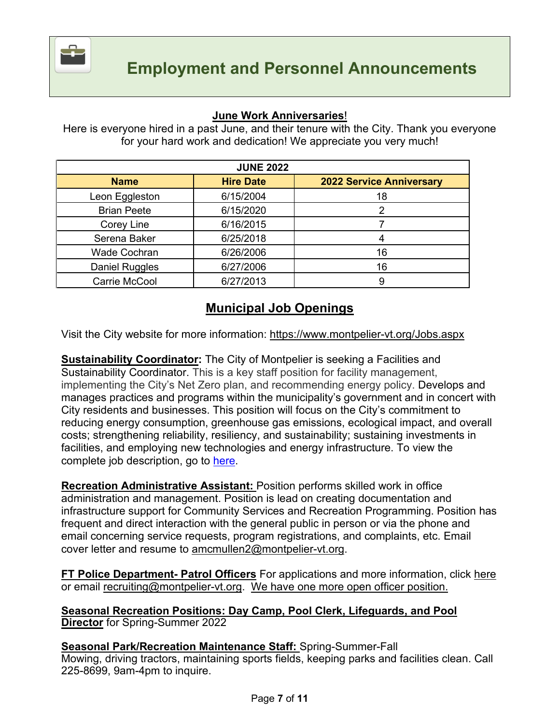

#### **June Work Anniversaries**!

Here is everyone hired in a past June, and their tenure with the City. Thank you everyone for your hard work and dedication! We appreciate you very much!

| <b>JUNE 2022</b>    |                  |                                 |  |  |  |
|---------------------|------------------|---------------------------------|--|--|--|
| <b>Name</b>         | <b>Hire Date</b> | <b>2022 Service Anniversary</b> |  |  |  |
| Leon Eggleston      | 6/15/2004        | 18                              |  |  |  |
| <b>Brian Peete</b>  | 6/15/2020        |                                 |  |  |  |
| Corey Line          | 6/16/2015        |                                 |  |  |  |
| Serena Baker        | 6/25/2018        |                                 |  |  |  |
| <b>Wade Cochran</b> | 6/26/2006        | 16                              |  |  |  |
| Daniel Ruggles      | 6/27/2006        | 16                              |  |  |  |
| Carrie McCool       | 6/27/2013        | 9                               |  |  |  |

### **Municipal Job Openings**

Visit the City website for more information:<https://www.montpelier-vt.org/Jobs.aspx>

**Sustainability Coordinator:** The City of Montpelier is seeking a Facilities and Sustainability Coordinator. This is a key staff position for facility management, implementing the City's Net Zero plan, and recommending energy policy. Develops and manages practices and programs within the municipality's government and in concert with City residents and businesses. This position will focus on the City's commitment to reducing energy consumption, greenhouse gas emissions, ecological impact, and overall costs; strengthening reliability, resiliency, and sustainability; sustaining investments in facilities, and employing new technologies and energy infrastructure. To view the complete job description, go to [here.](https://www.montpelier-vt.org/Jobs.aspx)

**Recreation Administrative Assistant:** Position performs skilled work in office administration and management. Position is lead on creating documentation and infrastructure support for Community Services and Recreation Programming. Position has frequent and direct interaction with the general public in person or via the phone and email concerning service requests, program registrations, and complaints, etc. Email cover letter and resume to [amcmullen2@montpelier-vt.org.](mailto:amcmullen2@montpelier-vt.org)

**FT Police Department- Patrol Officers** For applications and more information, click [here](https://www.policeapp.com/Entry-Level-City-of-Montpelier-VT-Police-Officer-Jobs/2921/) or email [recruiting@montpelier-vt.org.](mailto:recruiting@montpelier-vt.org) We have one more open officer position.

#### **Seasonal Recreation Positions: Day Camp, Pool Clerk, Lifeguards, and Pool Director** for Spring-Summer 2022

**Seasonal Park/Recreation Maintenance Staff:** Spring-Summer-Fall Mowing, driving tractors, maintaining sports fields, keeping parks and facilities clean. Call 225-8699, 9am-4pm to inquire.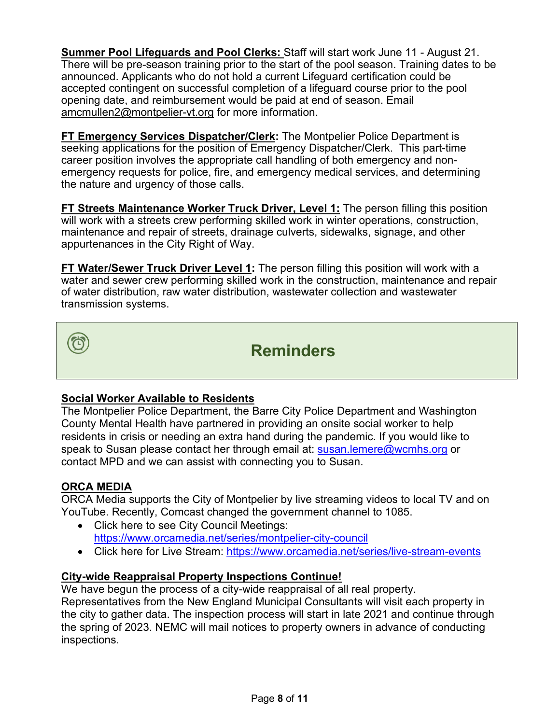**Summer Pool Lifeguards and Pool Clerks:** Staff will start work June 11 - August 21. There will be pre-season training prior to the start of the pool season. Training dates to be announced. Applicants who do not hold a current Lifeguard certification could be accepted contingent on successful completion of a lifeguard course prior to the pool opening date, and reimbursement would be paid at end of season. Email [amcmullen2@montpelier-vt.org](mailto:amcmullen2@montpelier-vt.org) for more information.

**FT Emergency Services Dispatcher/Clerk:** The Montpelier Police Department is seeking applications for the position of Emergency Dispatcher/Clerk. This part-time career position involves the appropriate call handling of both emergency and nonemergency requests for police, fire, and emergency medical services, and determining the nature and urgency of those calls.

**FT Streets Maintenance Worker Truck Driver, Level 1:** The person filling this position will work with a streets crew performing skilled work in winter operations, construction, maintenance and repair of streets, drainage culverts, sidewalks, signage, and other appurtenances in the City Right of Way.

**FT Water/Sewer Truck Driver Level 1:** The person filling this position will work with a water and sewer crew performing skilled work in the construction, maintenance and repair of water distribution, raw water distribution, wastewater collection and wastewater transmission systems.



### **Reminders**

#### **Social Worker Available to Residents**

The Montpelier Police Department, the Barre City Police Department and Washington County Mental Health have partnered in providing an onsite social worker to help residents in crisis or needing an extra hand during the pandemic. If you would like to speak to Susan please contact her through email at: [susan.lemere@wcmhs.org](mailto:susan.lemere@wcmhs.org) or contact MPD and we can assist with connecting you to Susan.

#### **ORCA MEDIA**

ORCA Media supports the City of Montpelier by live streaming videos to local TV and on YouTube. Recently, Comcast changed the government channel to 1085.

- Click here to see City Council Meetings: <https://www.orcamedia.net/series/montpelier-city-council>
- Click here for Live Stream:<https://www.orcamedia.net/series/live-stream-events>

#### **City-wide Reappraisal Property Inspections Continue!**

We have begun the process of a city-wide reappraisal of all real property. Representatives from the New England Municipal Consultants will visit each property in the city to gather data. The inspection process will start in late 2021 and continue through the spring of 2023. NEMC will mail notices to property owners in advance of conducting inspections.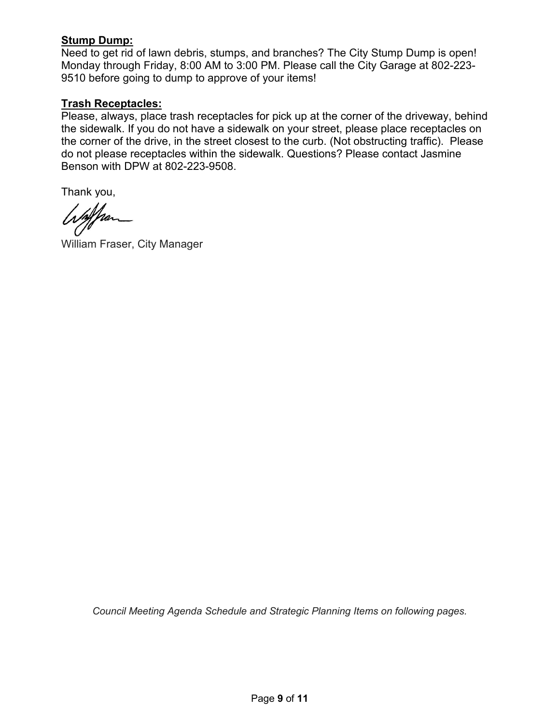#### **Stump Dump:**

Need to get rid of lawn debris, stumps, and branches? The City Stump Dump is open! Monday through Friday, 8:00 AM to 3:00 PM. Please call the City Garage at 802-223- 9510 before going to dump to approve of your items!

#### **Trash Receptacles:**

Please, always, place trash receptacles for pick up at the corner of the driveway, behind the sidewalk. If you do not have a sidewalk on your street, please place receptacles on the corner of the drive, in the street closest to the curb. (Not obstructing traffic). Please do not please receptacles within the sidewalk. Questions? Please contact Jasmine Benson with DPW at 802-223-9508.

Thank you,

if fran

William Fraser, City Manager

*Council Meeting Agenda Schedule and Strategic Planning Items on following pages.*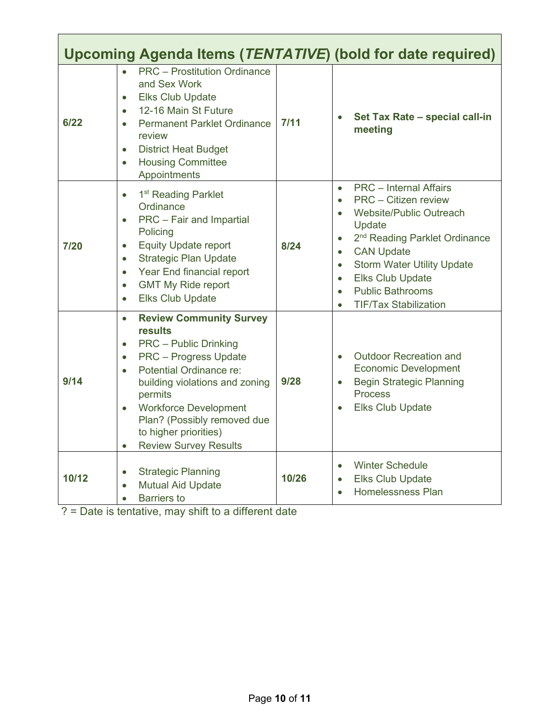| Upcoming Agenda Items (TENTATIVE) (bold for date required) |                                                                                                                                                                                                                                                                                                                                                                            |       |                                                                                                                                                                                                                                                                                                                                                                                                 |  |
|------------------------------------------------------------|----------------------------------------------------------------------------------------------------------------------------------------------------------------------------------------------------------------------------------------------------------------------------------------------------------------------------------------------------------------------------|-------|-------------------------------------------------------------------------------------------------------------------------------------------------------------------------------------------------------------------------------------------------------------------------------------------------------------------------------------------------------------------------------------------------|--|
| 6/22                                                       | <b>PRC</b> - Prostitution Ordinance<br>$\bullet$<br>and Sex Work<br><b>Elks Club Update</b><br>$\bullet$<br>12-16 Main St Future<br>$\bullet$<br><b>Permanent Parklet Ordinance</b><br>$\bullet$<br>review<br><b>District Heat Budget</b><br>$\bullet$<br><b>Housing Committee</b><br>$\bullet$<br>Appointments                                                            | 7/11  | Set Tax Rate - special call-in<br>meeting                                                                                                                                                                                                                                                                                                                                                       |  |
| 7/20                                                       | 1 <sup>st</sup> Reading Parklet<br>$\bullet$<br>Ordinance<br>PRC - Fair and Impartial<br>$\bullet$<br>Policing<br><b>Equity Update report</b><br>$\bullet$<br><b>Strategic Plan Update</b><br>$\bullet$<br>Year End financial report<br>$\bullet$<br><b>GMT My Ride report</b><br>$\bullet$<br><b>Elks Club Update</b><br>$\bullet$                                        | 8/24  | <b>PRC</b> - Internal Affairs<br>$\bullet$<br>PRC - Citizen review<br>$\bullet$<br>Website/Public Outreach<br>$\bullet$<br>Update<br>2 <sup>nd</sup> Reading Parklet Ordinance<br>$\bullet$<br><b>CAN Update</b><br>$\bullet$<br><b>Storm Water Utility Update</b><br>$\bullet$<br><b>Elks Club Update</b><br>$\bullet$<br><b>Public Bathrooms</b><br>$\bullet$<br><b>TIF/Tax Stabilization</b> |  |
| 9/14                                                       | <b>Review Community Survey</b><br>$\bullet$<br>results<br><b>PRC</b> – Public Drinking<br>$\bullet$<br><b>PRC</b> - Progress Update<br>$\bullet$<br>Potential Ordinance re:<br>building violations and zoning<br>permits<br><b>Workforce Development</b><br>$\bullet$<br>Plan? (Possibly removed due<br>to higher priorities)<br><b>Review Survey Results</b><br>$\bullet$ | 9/28  | <b>Outdoor Recreation and</b><br>$\bullet$<br><b>Economic Development</b><br><b>Begin Strategic Planning</b><br>$\bullet$<br><b>Process</b><br><b>Elks Club Update</b>                                                                                                                                                                                                                          |  |
| 10/12                                                      | <b>Strategic Planning</b><br>$\bullet$<br><b>Mutual Aid Update</b><br>$\bullet$<br><b>Barriers to</b><br>$\bullet$                                                                                                                                                                                                                                                         | 10/26 | <b>Winter Schedule</b><br>$\bullet$<br><b>Elks Club Update</b><br>$\bullet$<br><b>Homelessness Plan</b><br>$\bullet$                                                                                                                                                                                                                                                                            |  |

? = Date is tentative, may shift to a different date

Г